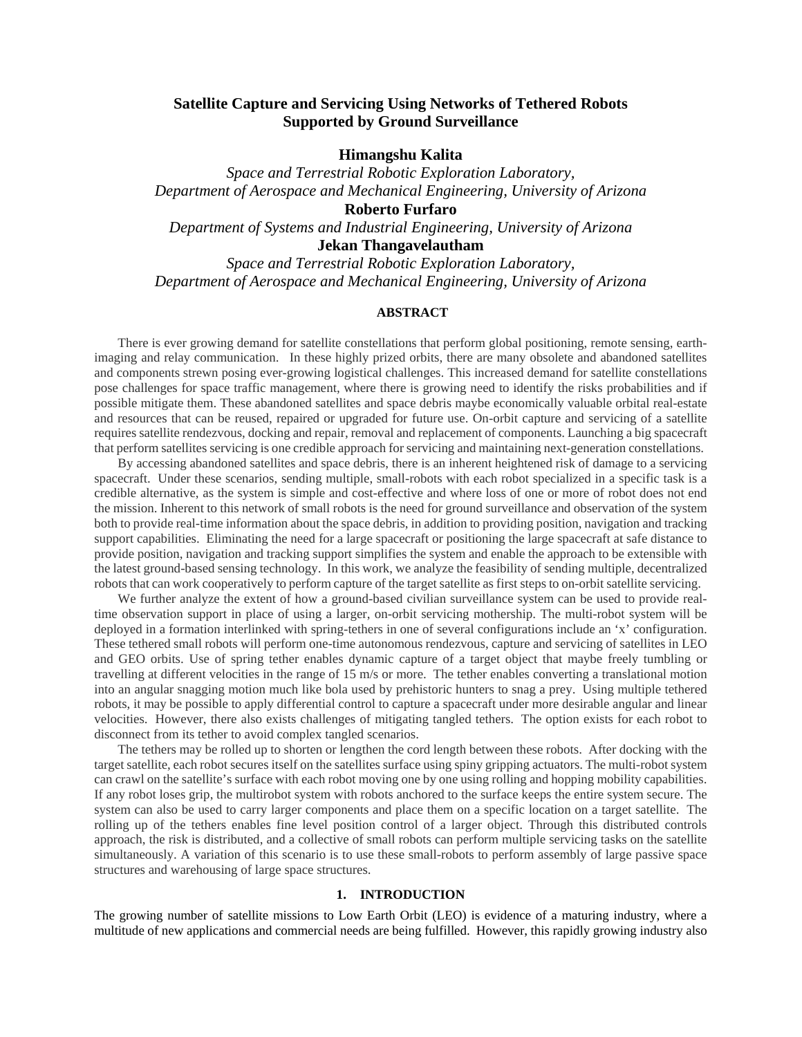# **Satellite Capture and Servicing Using Networks of Tethered Robots Supported by Ground Surveillance**

## **Himangshu Kalita**

*Space and Terrestrial Robotic Exploration Laboratory, Department of Aerospace and Mechanical Engineering, University of Arizona* **Roberto Furfaro** *Department of Systems and Industrial Engineering, University of Arizona* **Jekan Thangavelautham**

*Space and Terrestrial Robotic Exploration Laboratory, Department of Aerospace and Mechanical Engineering, University of Arizona*

## **ABSTRACT**

There is ever growing demand for satellite constellations that perform global positioning, remote sensing, earthimaging and relay communication. In these highly prized orbits, there are many obsolete and abandoned satellites and components strewn posing ever-growing logistical challenges. This increased demand for satellite constellations pose challenges for space traffic management, where there is growing need to identify the risks probabilities and if possible mitigate them. These abandoned satellites and space debris maybe economically valuable orbital real-estate and resources that can be reused, repaired or upgraded for future use. On-orbit capture and servicing of a satellite requires satellite rendezvous, docking and repair, removal and replacement of components. Launching a big spacecraft that perform satellites servicing is one credible approach for servicing and maintaining next-generation constellations.

By accessing abandoned satellites and space debris, there is an inherent heightened risk of damage to a servicing spacecraft. Under these scenarios, sending multiple, small-robots with each robot specialized in a specific task is a credible alternative, as the system is simple and cost-effective and where loss of one or more of robot does not end the mission. Inherent to this network of small robots is the need for ground surveillance and observation of the system both to provide real-time information about the space debris, in addition to providing position, navigation and tracking support capabilities. Eliminating the need for a large spacecraft or positioning the large spacecraft at safe distance to provide position, navigation and tracking support simplifies the system and enable the approach to be extensible with the latest ground-based sensing technology. In this work, we analyze the feasibility of sending multiple, decentralized robots that can work cooperatively to perform capture of the target satellite as first steps to on-orbit satellite servicing.

We further analyze the extent of how a ground-based civilian surveillance system can be used to provide realtime observation support in place of using a larger, on-orbit servicing mothership. The multi-robot system will be deployed in a formation interlinked with spring-tethers in one of several configurations include an 'x' configuration. These tethered small robots will perform one-time autonomous rendezvous, capture and servicing of satellites in LEO and GEO orbits. Use of spring tether enables dynamic capture of a target object that maybe freely tumbling or travelling at different velocities in the range of 15 m/s or more. The tether enables converting a translational motion into an angular snagging motion much like bola used by prehistoric hunters to snag a prey. Using multiple tethered robots, it may be possible to apply differential control to capture a spacecraft under more desirable angular and linear velocities. However, there also exists challenges of mitigating tangled tethers. The option exists for each robot to disconnect from its tether to avoid complex tangled scenarios.

The tethers may be rolled up to shorten or lengthen the cord length between these robots. After docking with the target satellite, each robot secures itself on the satellites surface using spiny gripping actuators. The multi-robot system can crawl on the satellite's surface with each robot moving one by one using rolling and hopping mobility capabilities. If any robot loses grip, the multirobot system with robots anchored to the surface keeps the entire system secure. The system can also be used to carry larger components and place them on a specific location on a target satellite. The rolling up of the tethers enables fine level position control of a larger object. Through this distributed controls approach, the risk is distributed, and a collective of small robots can perform multiple servicing tasks on the satellite simultaneously. A variation of this scenario is to use these small-robots to perform assembly of large passive space structures and warehousing of large space structures.

#### **1. INTRODUCTION**

The growing number of satellite missions to Low Earth Orbit (LEO) is evidence of a maturing industry, where a multitude of new applications and commercial needs are being fulfilled. However, this rapidly growing industry also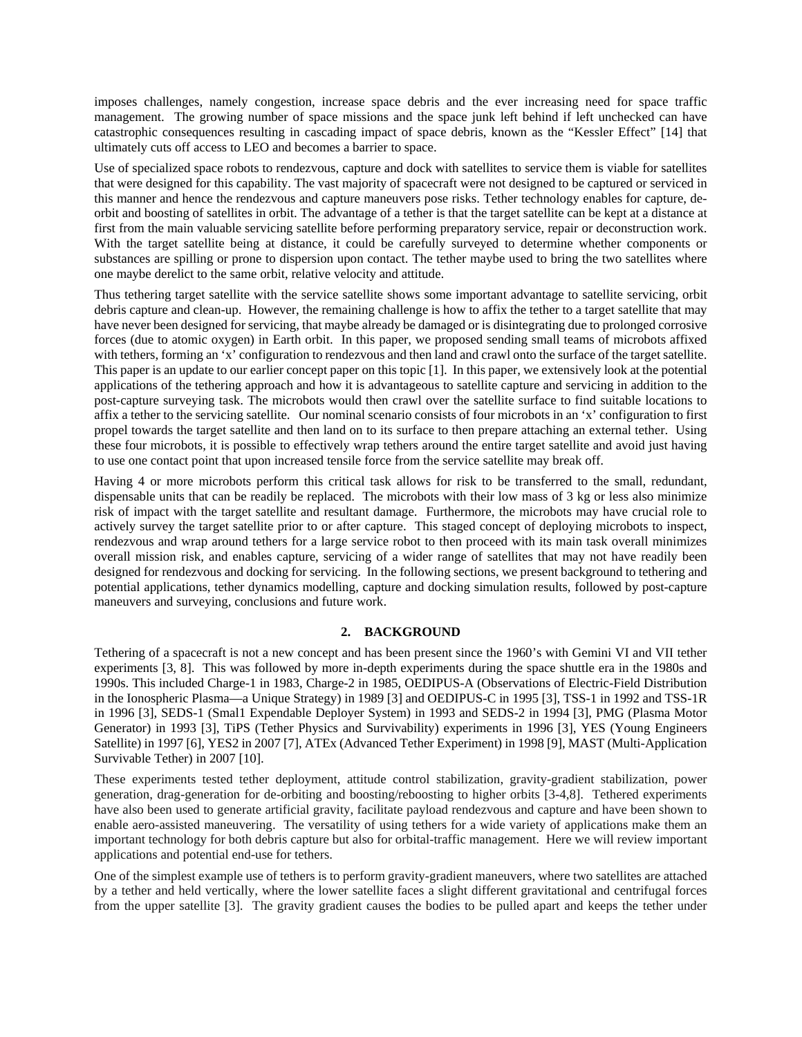imposes challenges, namely congestion, increase space debris and the ever increasing need for space traffic management. The growing number of space missions and the space junk left behind if left unchecked can have catastrophic consequences resulting in cascading impact of space debris, known as the "Kessler Effect" [14] that ultimately cuts off access to LEO and becomes a barrier to space.

Use of specialized space robots to rendezvous, capture and dock with satellites to service them is viable for satellites that were designed for this capability. The vast majority of spacecraft were not designed to be captured or serviced in this manner and hence the rendezvous and capture maneuvers pose risks. Tether technology enables for capture, deorbit and boosting of satellites in orbit. The advantage of a tether is that the target satellite can be kept at a distance at first from the main valuable servicing satellite before performing preparatory service, repair or deconstruction work. With the target satellite being at distance, it could be carefully surveyed to determine whether components or substances are spilling or prone to dispersion upon contact. The tether maybe used to bring the two satellites where one maybe derelict to the same orbit, relative velocity and attitude.

Thus tethering target satellite with the service satellite shows some important advantage to satellite servicing, orbit debris capture and clean-up. However, the remaining challenge is how to affix the tether to a target satellite that may have never been designed for servicing, that maybe already be damaged or is disintegrating due to prolonged corrosive forces (due to atomic oxygen) in Earth orbit. In this paper, we proposed sending small teams of microbots affixed with tethers, forming an 'x' configuration to rendezvous and then land and crawl onto the surface of the target satellite. This paper is an update to our earlier concept paper on this topic [1]. In this paper, we extensively look at the potential applications of the tethering approach and how it is advantageous to satellite capture and servicing in addition to the post-capture surveying task. The microbots would then crawl over the satellite surface to find suitable locations to affix a tether to the servicing satellite. Our nominal scenario consists of four microbots in an 'x' configuration to first propel towards the target satellite and then land on to its surface to then prepare attaching an external tether. Using these four microbots, it is possible to effectively wrap tethers around the entire target satellite and avoid just having to use one contact point that upon increased tensile force from the service satellite may break off.

Having 4 or more microbots perform this critical task allows for risk to be transferred to the small, redundant, dispensable units that can be readily be replaced. The microbots with their low mass of 3 kg or less also minimize risk of impact with the target satellite and resultant damage. Furthermore, the microbots may have crucial role to actively survey the target satellite prior to or after capture. This staged concept of deploying microbots to inspect, rendezvous and wrap around tethers for a large service robot to then proceed with its main task overall minimizes overall mission risk, and enables capture, servicing of a wider range of satellites that may not have readily been designed for rendezvous and docking for servicing. In the following sections, we present background to tethering and potential applications, tether dynamics modelling, capture and docking simulation results, followed by post-capture maneuvers and surveying, conclusions and future work.

## **2. BACKGROUND**

Tethering of a spacecraft is not a new concept and has been present since the 1960's with Gemini VI and VII tether experiments [3, 8]. This was followed by more in-depth experiments during the space shuttle era in the 1980s and 1990s. This included Charge-1 in 1983, Charge-2 in 1985, OEDIPUS-A (Observations of Electric-Field Distribution in the Ionospheric Plasma—a Unique Strategy) in 1989 [3] and OEDIPUS-C in 1995 [3], TSS-1 in 1992 and TSS-1R in 1996 [3], SEDS-1 (Smal1 Expendable Deployer System) in 1993 and SEDS-2 in 1994 [3], PMG (Plasma Motor Generator) in 1993 [3], TiPS (Tether Physics and Survivability) experiments in 1996 [3], YES (Young Engineers Satellite) in 1997 [6], YES2 in 2007 [7], ATEx (Advanced Tether Experiment) in 1998 [9], MAST (Multi-Application Survivable Tether) in 2007 [10].

These experiments tested tether deployment, attitude control stabilization, gravity-gradient stabilization, power generation, drag-generation for de-orbiting and boosting/reboosting to higher orbits [3-4,8]. Tethered experiments have also been used to generate artificial gravity, facilitate payload rendezvous and capture and have been shown to enable aero-assisted maneuvering. The versatility of using tethers for a wide variety of applications make them an important technology for both debris capture but also for orbital-traffic management. Here we will review important applications and potential end-use for tethers.

One of the simplest example use of tethers is to perform gravity-gradient maneuvers, where two satellites are attached by a tether and held vertically, where the lower satellite faces a slight different gravitational and centrifugal forces from the upper satellite [3]. The gravity gradient causes the bodies to be pulled apart and keeps the tether under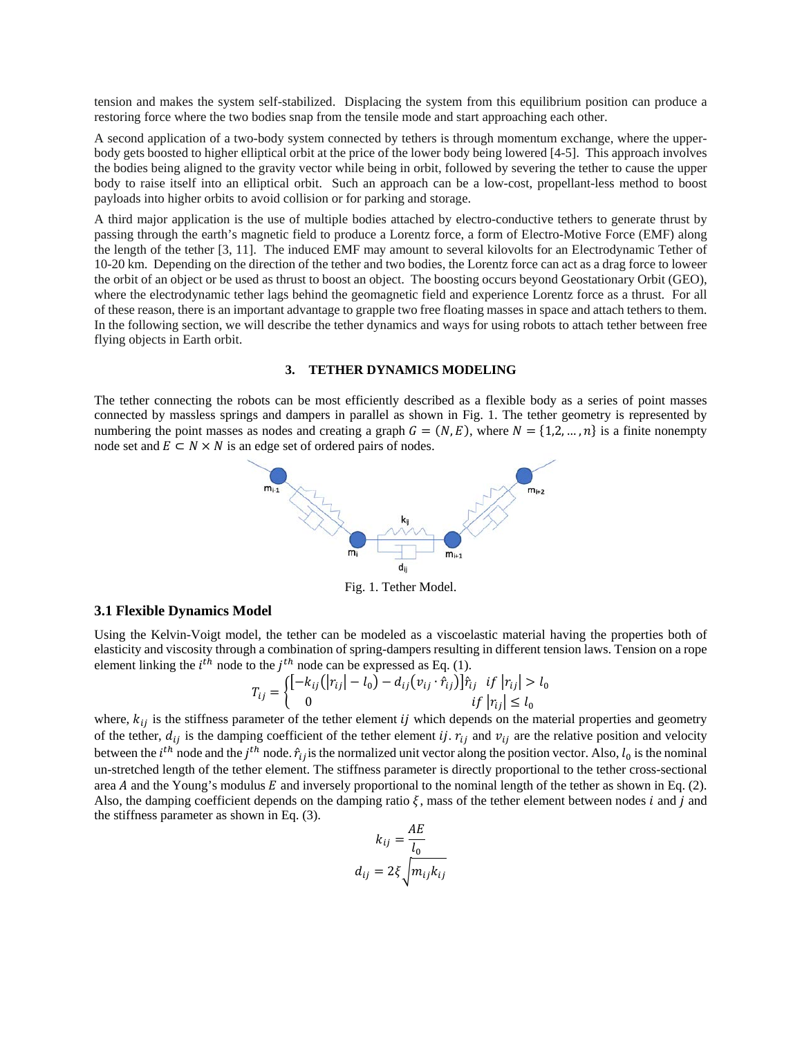tension and makes the system self-stabilized. Displacing the system from this equilibrium position can produce a restoring force where the two bodies snap from the tensile mode and start approaching each other.

A second application of a two-body system connected by tethers is through momentum exchange, where the upperbody gets boosted to higher elliptical orbit at the price of the lower body being lowered [4-5]. This approach involves the bodies being aligned to the gravity vector while being in orbit, followed by severing the tether to cause the upper body to raise itself into an elliptical orbit. Such an approach can be a low-cost, propellant-less method to boost payloads into higher orbits to avoid collision or for parking and storage.

A third major application is the use of multiple bodies attached by electro-conductive tethers to generate thrust by passing through the earth's magnetic field to produce a Lorentz force, a form of Electro-Motive Force (EMF) along the length of the tether [3, 11]. The induced EMF may amount to several kilovolts for an Electrodynamic Tether of 10-20 km. Depending on the direction of the tether and two bodies, the Lorentz force can act as a drag force to loweer the orbit of an object or be used as thrust to boost an object. The boosting occurs beyond Geostationary Orbit (GEO), where the electrodynamic tether lags behind the geomagnetic field and experience Lorentz force as a thrust. For all of these reason, there is an important advantage to grapple two free floating masses in space and attach tethers to them. In the following section, we will describe the tether dynamics and ways for using robots to attach tether between free flying objects in Earth orbit.

#### **3. TETHER DYNAMICS MODELING**

The tether connecting the robots can be most efficiently described as a flexible body as a series of point masses connected by massless springs and dampers in parallel as shown in Fig. 1. The tether geometry is represented by numbering the point masses as nodes and creating a graph  $G = (N, E)$ , where  $N = \{1, 2, ..., n\}$  is a finite nonempty node set and  $E \subset N \times N$  is an edge set of ordered pairs of nodes.



Fig. 1. Tether Model.

## **3.1 Flexible Dynamics Model**

Using the Kelvin-Voigt model, the tether can be modeled as a viscoelastic material having the properties both of elasticity and viscosity through a combination of spring-dampers resulting in different tension laws. Tension on a rope element linking the  $i^{th}$  node to the  $j^{th}$  node can be expressed as Eq. (1).

$$
T_{ij} = \begin{cases} \left[ -k_{ij} (|r_{ij}| - l_0) - d_{ij} (v_{ij} \cdot \hat{r}_{ij}) \right] \hat{r}_{ij} & \text{if } |r_{ij}| > l_0 \\ 0 & \text{if } |r_{ij}| \le l_0 \end{cases}
$$

where,  $k_{ij}$  is the stiffness parameter of the tether element *ij* which depends on the material properties and geometry of the tether,  $d_{ij}$  is the damping coefficient of the tether element *ij.*  $r_{ij}$  and  $v_{ij}$  are the relative position and velocity between the *i*<sup>th</sup> node and the *j*<sup>th</sup> node.  $\hat{r}_{ij}$  is the normalized unit vector along the position vector. Also,  $l_0$  is the nominal un-stretched length of the tether element. The stiffness parameter is directly proportional to the tether cross-sectional area  $A$  and the Young's modulus  $E$  and inversely proportional to the nominal length of the tether as shown in Eq. (2). Also, the damping coefficient depends on the damping ratio  $\xi$ , mass of the tether element between nodes *i* and *j* and the stiffness parameter as shown in Eq. (3).

$$
k_{ij} = \frac{AE}{l_0}
$$

$$
d_{ij} = 2\xi \sqrt{m_{ij}k_{ij}}
$$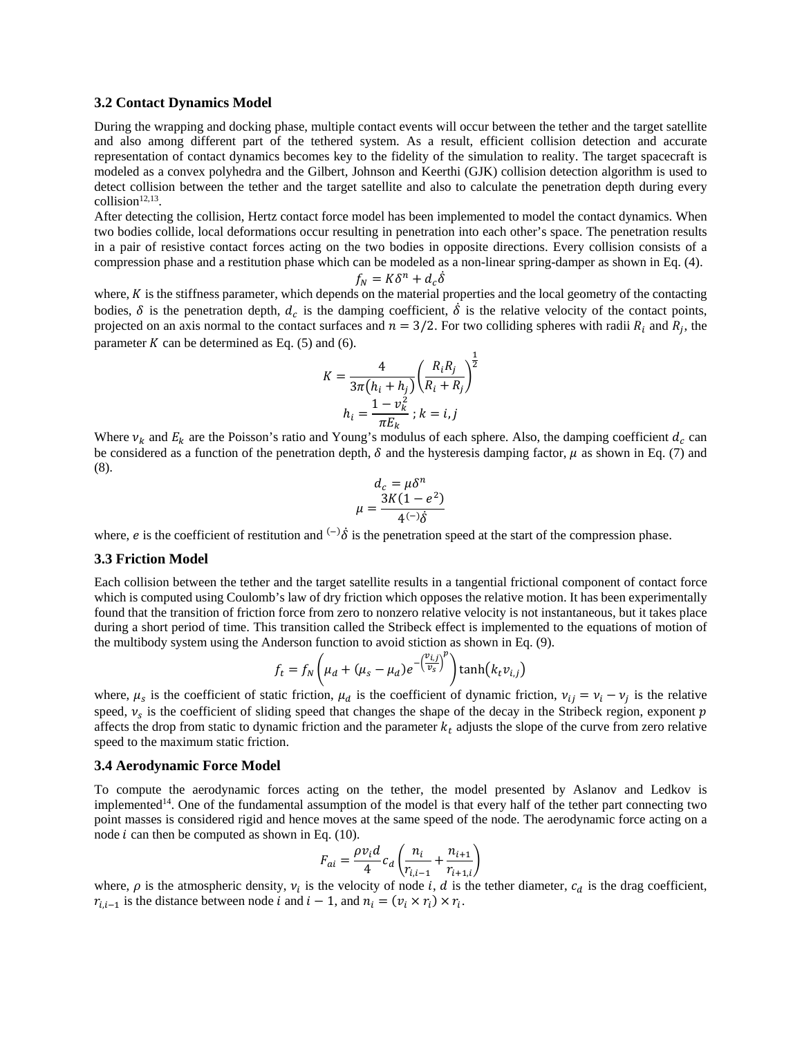#### **3.2 Contact Dynamics Model**

During the wrapping and docking phase, multiple contact events will occur between the tether and the target satellite and also among different part of the tethered system. As a result, efficient collision detection and accurate representation of contact dynamics becomes key to the fidelity of the simulation to reality. The target spacecraft is modeled as a convex polyhedra and the Gilbert, Johnson and Keerthi (GJK) collision detection algorithm is used to detect collision between the tether and the target satellite and also to calculate the penetration depth during every  $collision<sup>12,13</sup>$ .

After detecting the collision, Hertz contact force model has been implemented to model the contact dynamics. When two bodies collide, local deformations occur resulting in penetration into each other's space. The penetration results in a pair of resistive contact forces acting on the two bodies in opposite directions. Every collision consists of a compression phase and a restitution phase which can be modeled as a non-linear spring-damper as shown in Eq. (4).

$$
f_N = K\delta^n + d_c\delta
$$

where,  $K$  is the stiffness parameter, which depends on the material properties and the local geometry of the contacting bodies,  $\delta$  is the penetration depth,  $d_c$  is the damping coefficient,  $\delta$  is the relative velocity of the contact points, projected on an axis normal to the contact surfaces and  $n = 3/2$ . For two colliding spheres with radii  $R_i$  and  $R_j$ , the parameter  $K$  can be determined as Eq. (5) and (6).

$$
K = \frac{4}{3\pi(h_i + h_j)} \left(\frac{R_i R_j}{R_i + R_j}\right)^{\frac{1}{2}}
$$

$$
h_i = \frac{1 - v_k^2}{\pi E_k}; k = i, j
$$

Where  $v_k$  and  $E_k$  are the Poisson's ratio and Young's modulus of each sphere. Also, the damping coefficient  $d_c$  can be considered as a function of the penetration depth,  $\delta$  and the hysteresis damping factor,  $\mu$  as shown in Eq. (7) and (8).

$$
d_c = \mu \delta^n
$$
  

$$
\mu = \frac{3K(1 - e^2)}{4^{(-)}\dot{\delta}}
$$

where, *e* is the coefficient of restitution and  $\binom{-}{0}$  is the penetration speed at the start of the compression phase.

#### **3.3 Friction Model**

Each collision between the tether and the target satellite results in a tangential frictional component of contact force which is computed using Coulomb's law of dry friction which opposes the relative motion. It has been experimentally found that the transition of friction force from zero to nonzero relative velocity is not instantaneous, but it takes place during a short period of time. This transition called the Stribeck effect is implemented to the equations of motion of the multibody system using the Anderson function to avoid stiction as shown in Eq. (9).

$$
f_t = f_N \left( \mu_d + (\mu_s - \mu_d) e^{-\left(\frac{\nu_{i,j}}{\nu_s}\right)^p} \right) \tanh\left(k_t \nu_{i,j}\right)
$$

where,  $\mu_s$  is the coefficient of static friction,  $\mu_d$  is the coefficient of dynamic friction,  $v_{ij} = v_i - v_j$  is the relative speed,  $v_s$  is the coefficient of sliding speed that changes the shape of the decay in the Stribeck region, exponent  $p$ affects the drop from static to dynamic friction and the parameter  $k_t$  adjusts the slope of the curve from zero relative speed to the maximum static friction.

#### **3.4 Aerodynamic Force Model**

To compute the aerodynamic forces acting on the tether, the model presented by Aslanov and Ledkov is implemented<sup>14</sup>. One of the fundamental assumption of the model is that every half of the tether part connecting two point masses is considered rigid and hence moves at the same speed of the node. The aerodynamic force acting on a node  $i$  can then be computed as shown in Eq. (10).

$$
F_{ai} = \frac{\rho v_i d}{4} c_d \left( \frac{n_i}{r_{i,i-1}} + \frac{n_{i+1}}{r_{i+1,i}} \right)
$$

where,  $\rho$  is the atmospheric density,  $v_i$  is the velocity of node i, d is the tether diameter,  $c_d$  is the drag coefficient,  $r_{i,i-1}$  is the distance between node *i* and  $i-1$ , and  $n_i = (v_i \times r_i) \times r_i$ .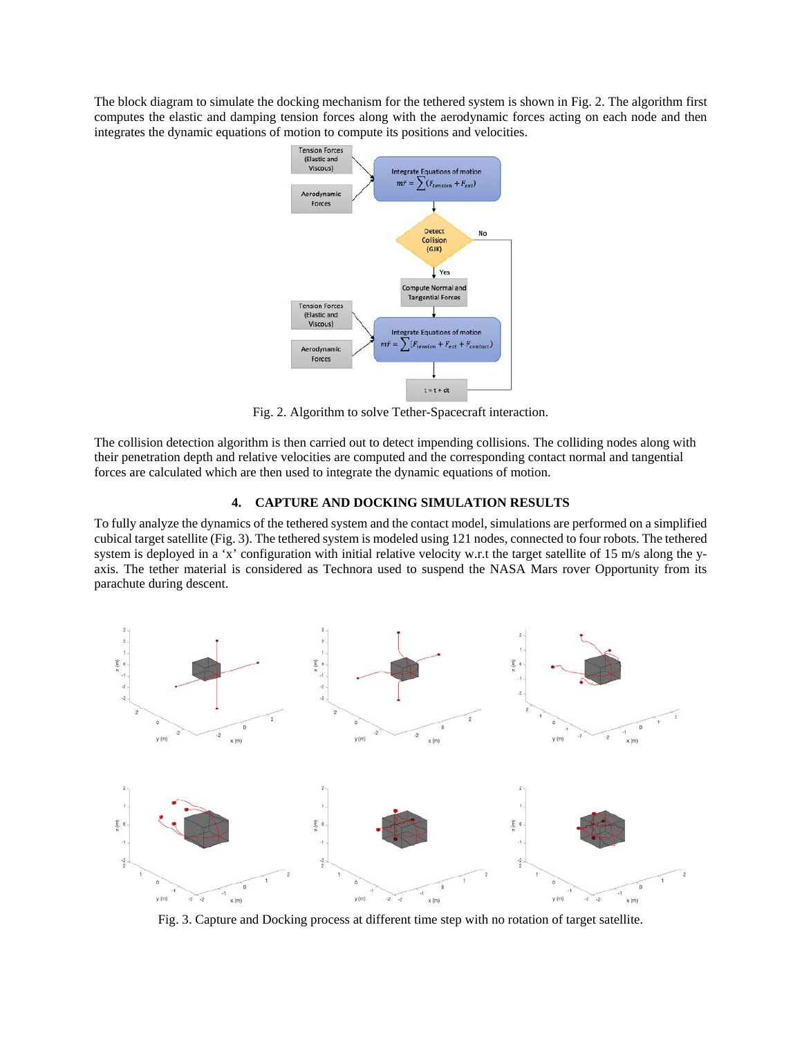The block diagram to simulate the docking mechanism for the tethered system is shown in Fig. 2. The algorithm first computes the elastic and damping tension forces along with the aerodynamic forces acting on each node and then integrates the dynamic equations of motion to compute its positions and velocities.



Fig. 2. Algorithm to solve Tether-Spacecraft interaction.

The collision detection algorithm is then carried out to detect impending collisions. The colliding nodes along with their penetration depth and relative velocities are computed and the corresponding contact normal and tangential forces are calculated which are then used to integrate the dynamic equations of motion.

## **4. CAPTURE AND DOCKING SIMULATION RESULTS**

To fully analyze the dynamics of the tethered system and the contact model, simulations are performed on a simplified cubical target satellite (Fig. 3). The tethered system is modeled using 121 nodes, connected to four robots. The tethered system is deployed in a 'x' configuration with initial relative velocity w.r.t the target satellite of 15 m/s along the yaxis. The tether material is considered as Technora used to suspend the NASA Mars rover Opportunity from its parachute during descent.



Fig. 3. Capture and Docking process at different time step with no rotation of target satellite.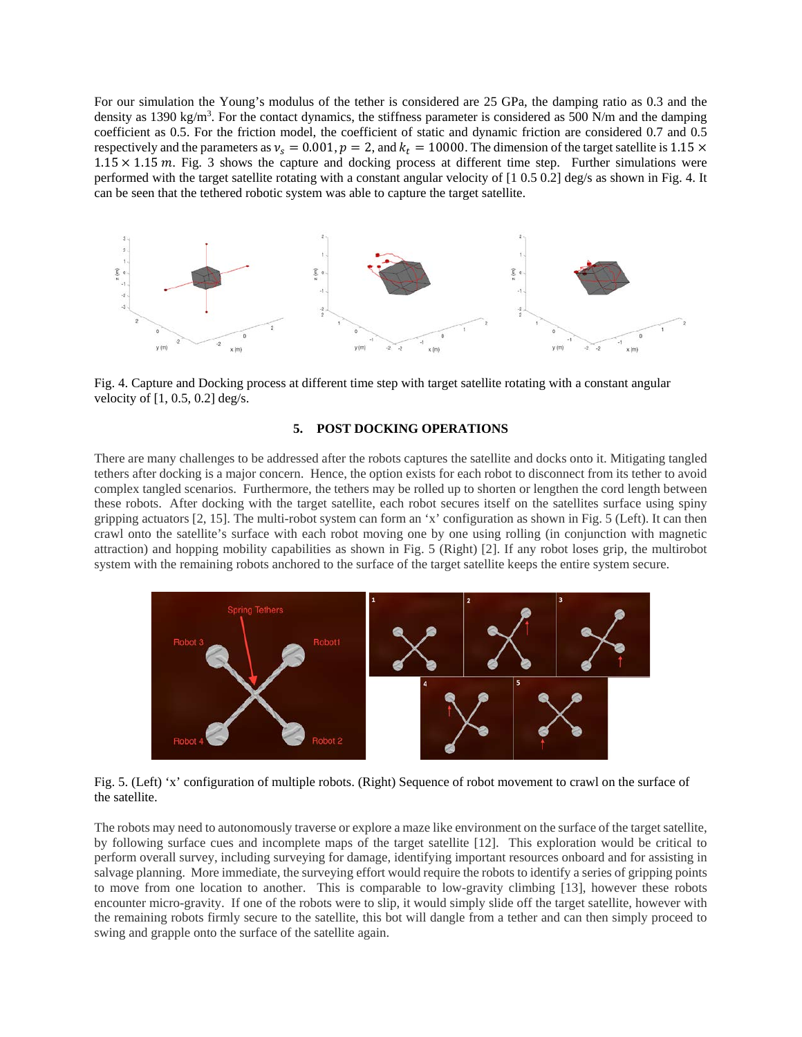For our simulation the Young's modulus of the tether is considered are 25 GPa, the damping ratio as 0.3 and the density as 1390 kg/m<sup>3</sup>. For the contact dynamics, the stiffness parameter is considered as 500 N/m and the damping coefficient as 0.5. For the friction model, the coefficient of static and dynamic friction are considered 0.7 and 0.5 respectively and the parameters as  $v_s = 0.001$ ,  $p = 2$ , and  $k_t = 10000$ . The dimension of the target satellite is 1.15  $\times$  $1.15 \times 1.15$  m. Fig. 3 shows the capture and docking process at different time step. Further simulations were performed with the target satellite rotating with a constant angular velocity of [1 0.5 0.2] deg/s as shown in Fig. 4. It can be seen that the tethered robotic system was able to capture the target satellite.



Fig. 4. Capture and Docking process at different time step with target satellite rotating with a constant angular velocity of [1, 0.5, 0.2] deg/s.

### **5. POST DOCKING OPERATIONS**

There are many challenges to be addressed after the robots captures the satellite and docks onto it. Mitigating tangled tethers after docking is a major concern. Hence, the option exists for each robot to disconnect from its tether to avoid complex tangled scenarios. Furthermore, the tethers may be rolled up to shorten or lengthen the cord length between these robots. After docking with the target satellite, each robot secures itself on the satellites surface using spiny gripping actuators [2, 15]. The multi-robot system can form an 'x' configuration as shown in Fig. 5 (Left). It can then crawl onto the satellite's surface with each robot moving one by one using rolling (in conjunction with magnetic attraction) and hopping mobility capabilities as shown in Fig. 5 (Right) [2]. If any robot loses grip, the multirobot system with the remaining robots anchored to the surface of the target satellite keeps the entire system secure.



Fig. 5. (Left) 'x' configuration of multiple robots. (Right) Sequence of robot movement to crawl on the surface of the satellite.

The robots may need to autonomously traverse or explore a maze like environment on the surface of the target satellite, by following surface cues and incomplete maps of the target satellite [12]. This exploration would be critical to perform overall survey, including surveying for damage, identifying important resources onboard and for assisting in salvage planning. More immediate, the surveying effort would require the robots to identify a series of gripping points to move from one location to another. This is comparable to low-gravity climbing [13], however these robots encounter micro-gravity. If one of the robots were to slip, it would simply slide off the target satellite, however with the remaining robots firmly secure to the satellite, this bot will dangle from a tether and can then simply proceed to swing and grapple onto the surface of the satellite again.